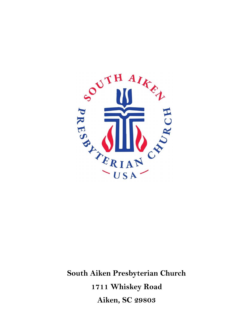

**South Aiken Presbyterian Church 1711 Whiskey Road Aiken, SC 29803**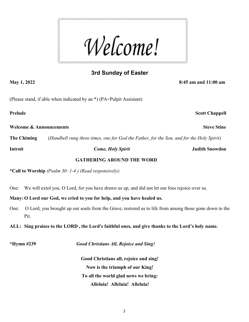

## **3rd Sunday of Easter**

**May 1, 2022 8:45 am and 11:00 am**

(Please stand, if able when indicated by an \*) (PA=Pulpit Assistant)

**Prelude Scott Chappell** 

**Welcome & Announcements**  $\bullet$  **Steve Stine**  $\bullet$  **Steve Stine** 

**The Chiming** (*Handbell rung three times, one for God the Father, for the Son, and for the Holy Spirit*)

**Introit** *Come, Holy Spirit* **Judith Snowdon**

#### **GATHERING AROUND THE WORD**

**\*Call to Worship** *(Psalm 30: 1-4 ) (Read responsively)*:

One: We will extol you. O Lord, for you have drawn us up, and did not let our foes rejoice over us.

**Many: O Lord our God, we cried to you for help, and you have healed us.**

- One: O Lord, you brought up our souls from the Grave, restored us to life from among those gone down to the Pit.
- **ALL: Sing praises to the LORD , the Lord's faithful ones, and give thanks to the Lord's holy name.**

**\*Hymn #239** *Good Christians All, Rejoice and Sing!*

**Good Christians all, rejoice and sing! Now is the triumph of our King! To all the world glad news we bring: Alleluia! Alleluia! Alleluia!**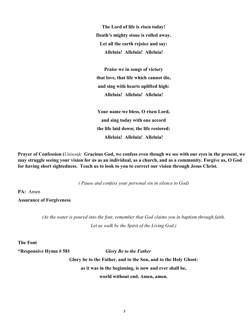**The Lord of life is risen today! Death's mighty stone is rolled away. Let all the earth rejoice and say: Alleluia! Alleluia! Alleluia!**

**Praise we in songs of victory that love, that life which cannot die, and sing with hearts uplifted high: Alleluia! Alleluia! Alleluia!**

**Your name we bless, O risen Lord, and sing today with one accord the life laid down; the life restored: Alleluia! Alleluia! Alleluia!**

**Prayer of Confession (***Unison):* **Gracious God, we confess even though we see with our eyes in the present, we may struggle seeing your vision for us as an individual, as a church, and as a community. Forgive us, O God for having short sightedness. Teach us to look to you to correct our vision through Jesus Christ.** 

*( Pause and confess your personal sin in silence to God)*

**PA:** Amen

**Assurance of Forgiveness**

*(As the water is poured into the font, remember that God claims you in baptism through faith, Let us walk by the Spirit of the Living God.)*

**The Font** 

**\*Responsive Hymn # 581** *Glory Be to the Father*

**Glory be to the Father, and to the Son, and to the Holy Ghost: as it was in the beginning, is now and ever shall be, world without end. Amen, amen.**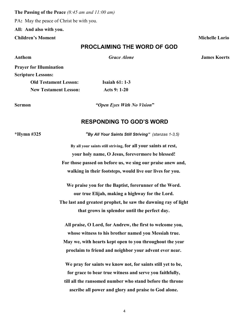**The Passing of the Peace** *(8:45 am and 11:00 am)* PA**:** May the peace of Christ be with you. **All: And also with you. Children's Moment** Michelle Lorio

#### **PROCLAIMING THE WORD OF GOD**

| Anthem                         | <b>Grace Alone</b> | <b>James Koerts</b> |
|--------------------------------|--------------------|---------------------|
| <b>Prayer for Illumination</b> |                    |                     |
| <b>Scripture Lessons:</b>      |                    |                     |
| <b>Old Testament Lesson:</b>   | Isaiah $61:1-3$    |                     |
| <b>New Testament Lesson:</b>   | Acts 9: 1-20       |                     |

**Sermon** *"Open Eyes With No Vision***"** 

# **RESPONDING TO GOD'S WORD**

| *Hymn #325 | "By All Your Saints Still Striving" (stanzas 1-3,5)             |  |
|------------|-----------------------------------------------------------------|--|
|            | By all your saints still striving, for all your saints at rest, |  |
|            | your holy name, O Jesus, forevermore be blessed!                |  |
|            | For those passed on before us, we sing our praise anew and,     |  |
|            | walking in their footsteps, would live our lives for you.       |  |
|            | We praise you for the Baptist, forerunner of the Word.          |  |
|            | our true Elijah, making a highway for the Lord.                 |  |
|            | The last and greatest prophet, he saw the dawning ray of light  |  |
|            | that grows in splendor until the perfect day.                   |  |
|            | All praise, O Lord, for Andrew, the first to welcome you,       |  |
|            | whose witness to his brother named you Messiah true.            |  |
|            | May we, with hearts kept open to you throughout the year        |  |
|            | proclaim to friend and neighbor your advent ever near.          |  |
|            | We pray for saints we know not, for saints still yet to be,     |  |
|            | for grace to bear true witness and serve you faithfully,        |  |
|            | till all the ransomed number who stand before the throne        |  |
|            | ascribe all power and glory and praise to God alone.            |  |
|            |                                                                 |  |

4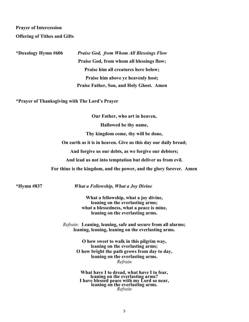# **Prayer of Intercession Offering of Tithes and Gifts**

**\*Doxology Hymn #606** *Praise God, from Whom All Blessings Flow* **Praise God, from whom all blessings flow; Praise him all creatures here below; Praise him above ye heavenly host; Praise Father, Son, and Holy Ghost. Amen** 

**\*Prayer of Thanksgiving with The Lord's Prayer** 

**Our Father, who art in heaven,**

**Hallowed be thy name,** 

**Thy kingdom come, thy will be done,**

**On earth as it is in heaven. Give us this day our daily bread;**

**And forgive us our debts, as we forgive our debtors;**

**And lead us not into temptation but deliver us from evil.**

**For thine is the kingdom, and the power, and the glory forever. Amen**

\*Hymn #837

**\*Hymn #837** *What a Fellowship, What a Joy Divine* 

**What a fellowship, what a joy divine,** **leaning on the everlasting arms;** **what a blessedness, what a peace is mine, leaning on the everlasting arms.**

*Refrain:* **Leaning, leaning, safe and secure from all alarms; leaning, leaning, leaning on the everlasting arms.**

> **O how sweet to walk in this pilgrim way, leaning on the everlasting arms; O how bright the path grows from day to day, leaning on the everlasting arms.**  *Refrain*

**What have I to dread, what have I to fear, leaning on the everlasting arms? I have blessed peace with my Lord so near, leaning on the everlasting arms.**  *Refrain*